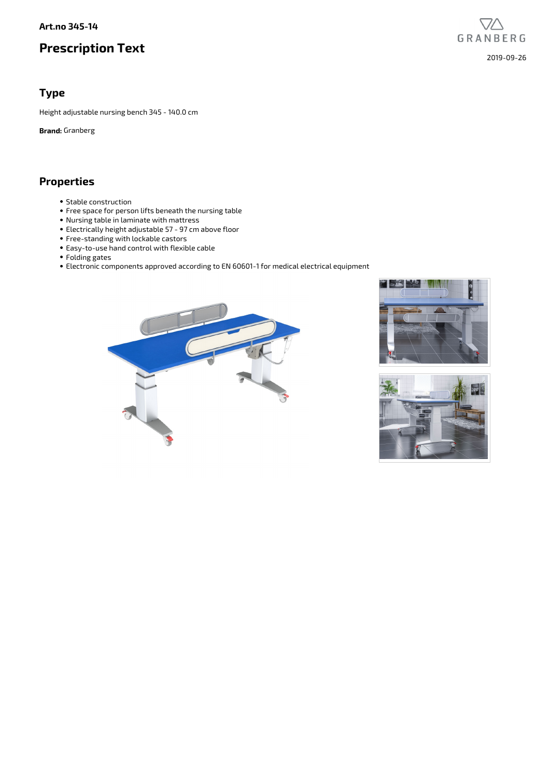#### **Art.no 345-14**

# **Prescription Text**

GRANBERG 2019-09-26

#### **Type**

Height adjustable nursing bench 345 - 140.0 cm

**Brand:** Granberg

## **Properties**

- Stable construction
- Free space for person lifts beneath the nursing table
- Nursing table in laminate with mattress
- Electrically height adjustable 57 97 cm above floor
- Free-standing with lockable castors
- Easy-to-use hand control with flexible cable
- Folding gates
- Electronic components approved according to EN 60601-1 for medical electrical equipment